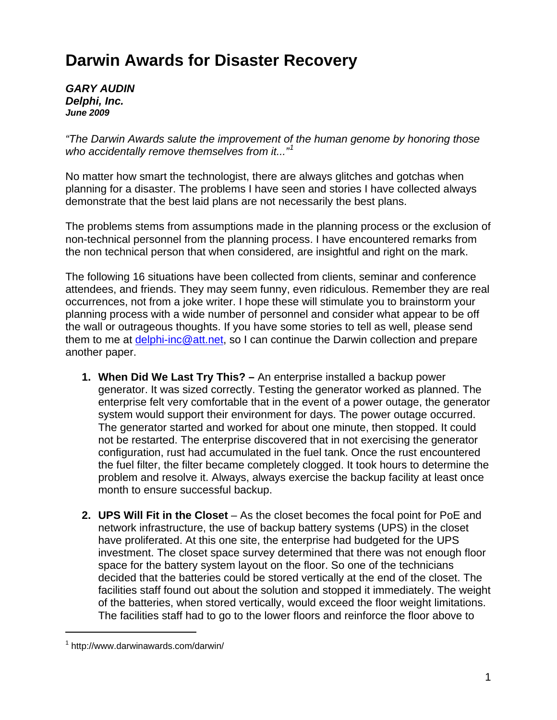## **Darwin Awards for Disaster Recovery**

*GARY AUDIN Delphi, Inc. June 2009* 

*"The Darwin Awards salute the improvement of the human genome by honoring those who accidentally remove themselves from it..."[1](#page-0-0)*

No matter how smart the technologist, there are always glitches and gotchas when planning for a disaster. The problems I have seen and stories I have collected always demonstrate that the best laid plans are not necessarily the best plans.

The problems stems from assumptions made in the planning process or the exclusion of non-technical personnel from the planning process. I have encountered remarks from the non technical person that when considered, are insightful and right on the mark.

The following 16 situations have been collected from clients, seminar and conference attendees, and friends. They may seem funny, even ridiculous. Remember they are real occurrences, not from a joke writer. I hope these will stimulate you to brainstorm your planning process with a wide number of personnel and consider what appear to be off the wall or outrageous thoughts. If you have some stories to tell as well, please send them to me at [delphi-inc@att.net,](mailto:delphi-inc@att.net) so I can continue the Darwin collection and prepare another paper.

- **1. When Did We Last Try This?** An enterprise installed a backup power generator. It was sized correctly. Testing the generator worked as planned. The enterprise felt very comfortable that in the event of a power outage, the generator system would support their environment for days. The power outage occurred. The generator started and worked for about one minute, then stopped. It could not be restarted. The enterprise discovered that in not exercising the generator configuration, rust had accumulated in the fuel tank. Once the rust encountered the fuel filter, the filter became completely clogged. It took hours to determine the problem and resolve it. Always, always exercise the backup facility at least once month to ensure successful backup.
- **2. UPS Will Fit in the Closet**  As the closet becomes the focal point for PoE and network infrastructure, the use of backup battery systems (UPS) in the closet have proliferated. At this one site, the enterprise had budgeted for the UPS investment. The closet space survey determined that there was not enough floor space for the battery system layout on the floor. So one of the technicians decided that the batteries could be stored vertically at the end of the closet. The facilities staff found out about the solution and stopped it immediately. The weight of the batteries, when stored vertically, would exceed the floor weight limitations. The facilities staff had to go to the lower floors and reinforce the floor above to

 $\overline{a}$ 

<span id="page-0-0"></span><sup>1</sup> http://www.darwinawards.com/darwin/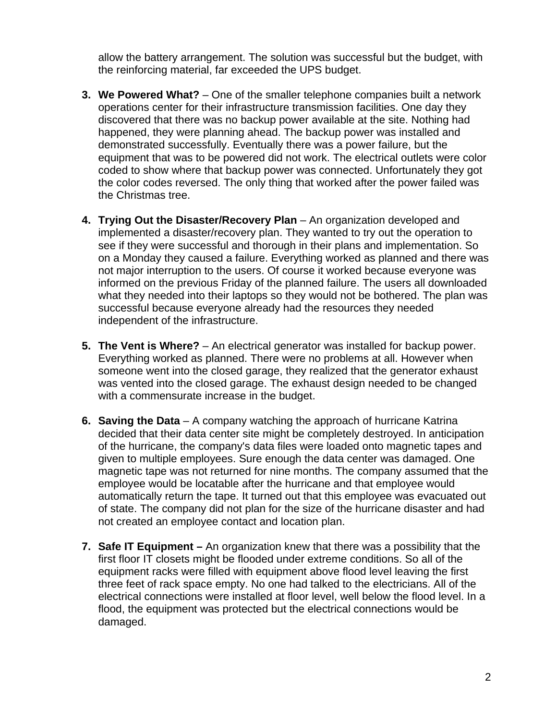allow the battery arrangement. The solution was successful but the budget, with the reinforcing material, far exceeded the UPS budget.

- **3. We Powered What?** One of the smaller telephone companies built a network operations center for their infrastructure transmission facilities. One day they discovered that there was no backup power available at the site. Nothing had happened, they were planning ahead. The backup power was installed and demonstrated successfully. Eventually there was a power failure, but the equipment that was to be powered did not work. The electrical outlets were color coded to show where that backup power was connected. Unfortunately they got the color codes reversed. The only thing that worked after the power failed was the Christmas tree.
- **4. Trying Out the Disaster/Recovery Plan** An organization developed and implemented a disaster/recovery plan. They wanted to try out the operation to see if they were successful and thorough in their plans and implementation. So on a Monday they caused a failure. Everything worked as planned and there was not major interruption to the users. Of course it worked because everyone was informed on the previous Friday of the planned failure. The users all downloaded what they needed into their laptops so they would not be bothered. The plan was successful because everyone already had the resources they needed independent of the infrastructure.
- **5. The Vent is Where?**  An electrical generator was installed for backup power. Everything worked as planned. There were no problems at all. However when someone went into the closed garage, they realized that the generator exhaust was vented into the closed garage. The exhaust design needed to be changed with a commensurate increase in the budget.
- **6. Saving the Data**  A company watching the approach of hurricane Katrina decided that their data center site might be completely destroyed. In anticipation of the hurricane, the company's data files were loaded onto magnetic tapes and given to multiple employees. Sure enough the data center was damaged. One magnetic tape was not returned for nine months. The company assumed that the employee would be locatable after the hurricane and that employee would automatically return the tape. It turned out that this employee was evacuated out of state. The company did not plan for the size of the hurricane disaster and had not created an employee contact and location plan.
- **7. Safe IT Equipment** An organization knew that there was a possibility that the first floor IT closets might be flooded under extreme conditions. So all of the equipment racks were filled with equipment above flood level leaving the first three feet of rack space empty. No one had talked to the electricians. All of the electrical connections were installed at floor level, well below the flood level. In a flood, the equipment was protected but the electrical connections would be damaged.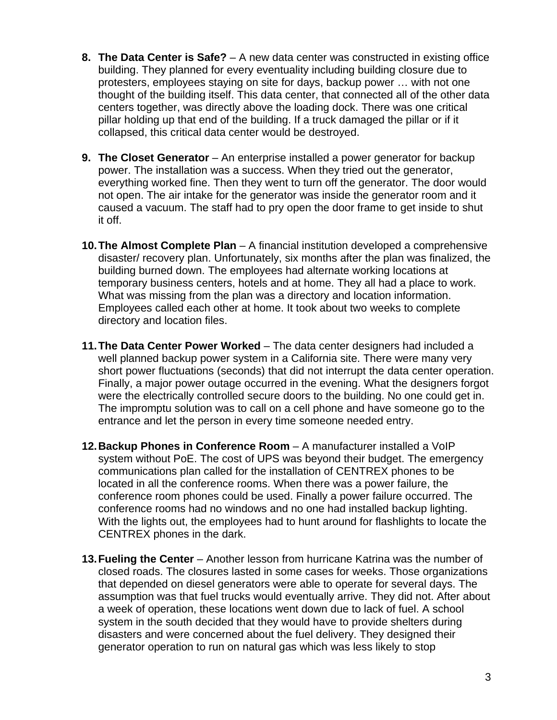- **8. The Data Center is Safe?** A new data center was constructed in existing office building. They planned for every eventuality including building closure due to protesters, employees staying on site for days, backup power … with not one thought of the building itself. This data center, that connected all of the other data centers together, was directly above the loading dock. There was one critical pillar holding up that end of the building. If a truck damaged the pillar or if it collapsed, this critical data center would be destroyed.
- **9. The Closet Generator**  An enterprise installed a power generator for backup power. The installation was a success. When they tried out the generator, everything worked fine. Then they went to turn off the generator. The door would not open. The air intake for the generator was inside the generator room and it caused a vacuum. The staff had to pry open the door frame to get inside to shut it off.
- **10. The Almost Complete Plan**  A financial institution developed a comprehensive disaster/ recovery plan. Unfortunately, six months after the plan was finalized, the building burned down. The employees had alternate working locations at temporary business centers, hotels and at home. They all had a place to work. What was missing from the plan was a directory and location information. Employees called each other at home. It took about two weeks to complete directory and location files.
- **11. The Data Center Power Worked** The data center designers had included a well planned backup power system in a California site. There were many very short power fluctuations (seconds) that did not interrupt the data center operation. Finally, a major power outage occurred in the evening. What the designers forgot were the electrically controlled secure doors to the building. No one could get in. The impromptu solution was to call on a cell phone and have someone go to the entrance and let the person in every time someone needed entry.
- **12. Backup Phones in Conference Room**  A manufacturer installed a VoIP system without PoE. The cost of UPS was beyond their budget. The emergency communications plan called for the installation of CENTREX phones to be located in all the conference rooms. When there was a power failure, the conference room phones could be used. Finally a power failure occurred. The conference rooms had no windows and no one had installed backup lighting. With the lights out, the employees had to hunt around for flashlights to locate the CENTREX phones in the dark.
- **13. Fueling the Center** Another lesson from hurricane Katrina was the number of closed roads. The closures lasted in some cases for weeks. Those organizations that depended on diesel generators were able to operate for several days. The assumption was that fuel trucks would eventually arrive. They did not. After about a week of operation, these locations went down due to lack of fuel. A school system in the south decided that they would have to provide shelters during disasters and were concerned about the fuel delivery. They designed their generator operation to run on natural gas which was less likely to stop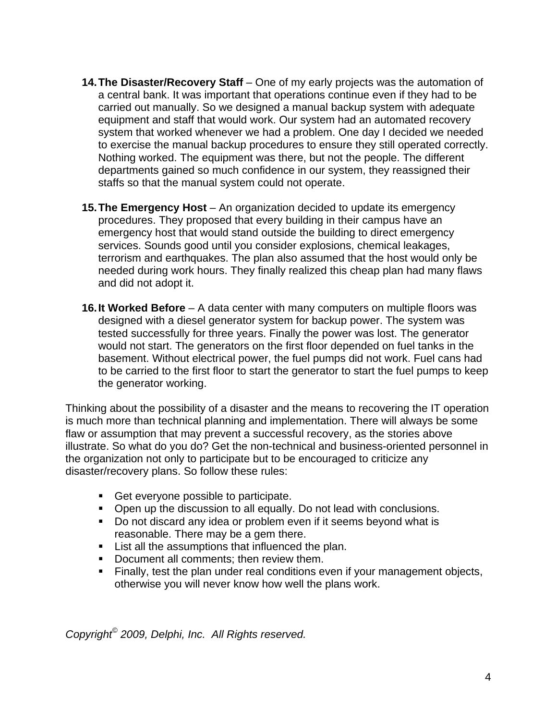- **14. The Disaster/Recovery Staff** One of my early projects was the automation of a central bank. It was important that operations continue even if they had to be carried out manually. So we designed a manual backup system with adequate equipment and staff that would work. Our system had an automated recovery system that worked whenever we had a problem. One day I decided we needed to exercise the manual backup procedures to ensure they still operated correctly. Nothing worked. The equipment was there, but not the people. The different departments gained so much confidence in our system, they reassigned their staffs so that the manual system could not operate.
- **15. The Emergency Host** An organization decided to update its emergency procedures. They proposed that every building in their campus have an emergency host that would stand outside the building to direct emergency services. Sounds good until you consider explosions, chemical leakages, terrorism and earthquakes. The plan also assumed that the host would only be needed during work hours. They finally realized this cheap plan had many flaws and did not adopt it.
- **16. It Worked Before**  A data center with many computers on multiple floors was designed with a diesel generator system for backup power. The system was tested successfully for three years. Finally the power was lost. The generator would not start. The generators on the first floor depended on fuel tanks in the basement. Without electrical power, the fuel pumps did not work. Fuel cans had to be carried to the first floor to start the generator to start the fuel pumps to keep the generator working.

Thinking about the possibility of a disaster and the means to recovering the IT operation is much more than technical planning and implementation. There will always be some flaw or assumption that may prevent a successful recovery, as the stories above illustrate. So what do you do? Get the non-technical and business-oriented personnel in the organization not only to participate but to be encouraged to criticize any disaster/recovery plans. So follow these rules:

- Get everyone possible to participate.
- **Open up the discussion to all equally. Do not lead with conclusions.**
- Do not discard any idea or problem even if it seems beyond what is reasonable. There may be a gem there.
- **EXECT** List all the assumptions that influenced the plan.
- Document all comments: then review them.
- Finally, test the plan under real conditions even if your management objects, otherwise you will never know how well the plans work.

*Copyright© 2009, Delphi, Inc. All Rights reserved.*